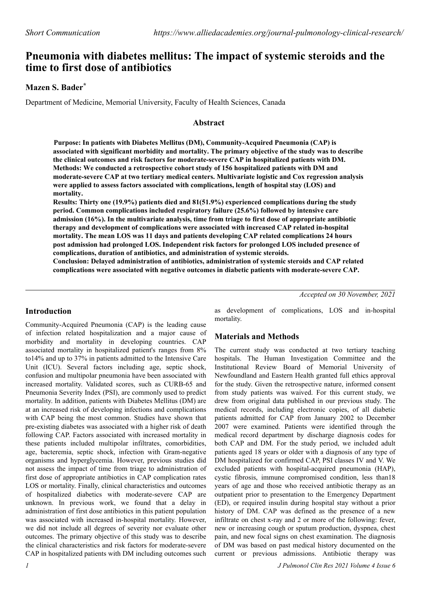# **Pneumonia with diabetes mellitus: The impact of systemic steroids and the time to first dose of antibiotics**

## **Mazen S. Bader\***

Department of Medicine, Memorial University, Faculty of Health Sciences, Canada

#### **Abstract**

**Purpose: In patients with Diabetes Mellitus (DM), Community-Acquired Pneumonia (CAP) is associated with significant morbidity and mortality. The primary objective of the study was to describe the clinical outcomes and risk factors for moderate-severe CAP in hospitalized patients with DM. Methods: We conducted a retrospective cohort study of 156 hospitalized patients with DM and moderate-severe CAP at two tertiary medical centers. Multivariate logistic and Cox regression analysis were applied to assess factors associated with complications, length of hospital stay (LOS) and mortality.**

**Results: Thirty one (19.9%) patients died and 81(51.9%) experienced complications during the study period. Common complications included respiratory failure (25.6%) followed by intensive care admission (16%). In the multivariate analysis, time from triage to first dose of appropriate antibiotic therapy and development of complications were associated with increased CAP related in-hospital mortality. The mean LOS was 11 days and patients developing CAP related complications 24 hours post admission had prolonged LOS. Independent risk factors for prolonged LOS included presence of complications, duration of antibiotics, and administration of systemic steroids.**

**Conclusion: Delayed administration of antibiotics, administration of systemic steroids and CAP related complications were associated with negative outcomes in diabetic patients with moderate-severe CAP.**

*Accepted on 30 November, 2021*

### **Introduction**

Community-Acquired Pneumonia (CAP) is the leading cause of infection related hospitalization and a major cause of morbidity and mortality in developing countries. CAP associated mortality in hospitalized patient's ranges from 8% to14% and up to 37% in patients admitted to the Intensive Care Unit (ICU). Several factors including age, septic shock, confusion and multipolar pneumonia have been associated with increased mortality. Validated scores, such as CURB-65 and Pneumonia Severity Index (PSI), are commonly used to predict mortality. In addition, patients with Diabetes Mellitus (DM) are at an increased risk of developing infections and complications with CAP being the most common. Studies have shown that pre-existing diabetes was associated with a higher risk of death following CAP. Factors associated with increased mortality in these patients included multipolar infiltrates, comorbidities, age, bacteremia, septic shock, infection with Gram-negative organisms and hyperglycemia. However, previous studies did not assess the impact of time from triage to administration of first dose of appropriate antibiotics in CAP complication rates LOS or mortality. Finally, clinical characteristics and outcomes of hospitalized diabetics with moderate-severe CAP are unknown. In previous work, we found that a delay in administration of first dose antibiotics in this patient population was associated with increased in-hospital mortality. However, we did not include all degrees of severity nor evaluate other outcomes. The primary objective of this study was to describe the clinical characteristics and risk factors for moderate-severe CAP in hospitalized patients with DM including outcomes such

as development of complications, LOS and in-hospital mortality.

### **Materials and Methods**

The current study was conducted at two tertiary teaching hospitals. The Human Investigation Committee and the Institutional Review Board of Memorial University of Newfoundland and Eastern Health granted full ethics approval for the study. Given the retrospective nature, informed consent from study patients was waived. For this current study, we drew from original data published in our previous study. The medical records, including electronic copies, of all diabetic patients admitted for CAP from January 2002 to December 2007 were examined. Patients were identified through the medical record department by discharge diagnosis codes for both CAP and DM. For the study period, we included adult patients aged 18 years or older with a diagnosis of any type of DM hospitalized for confirmed CAP, PSI classes IV and V. We excluded patients with hospital-acquired pneumonia (HAP), cystic fibrosis, immune compromised condition, less than18 years of age and those who received antibiotic therapy as an outpatient prior to presentation to the Emergency Department (ED), or required insulin during hospital stay without a prior history of DM. CAP was defined as the presence of a new infiltrate on chest x-ray and 2 or more of the following: fever, new or increasing cough or sputum production, dyspnea, chest pain, and new focal signs on chest examination. The diagnosis of DM was based on past medical history documented on the current or previous admissions. Antibiotic therapy was